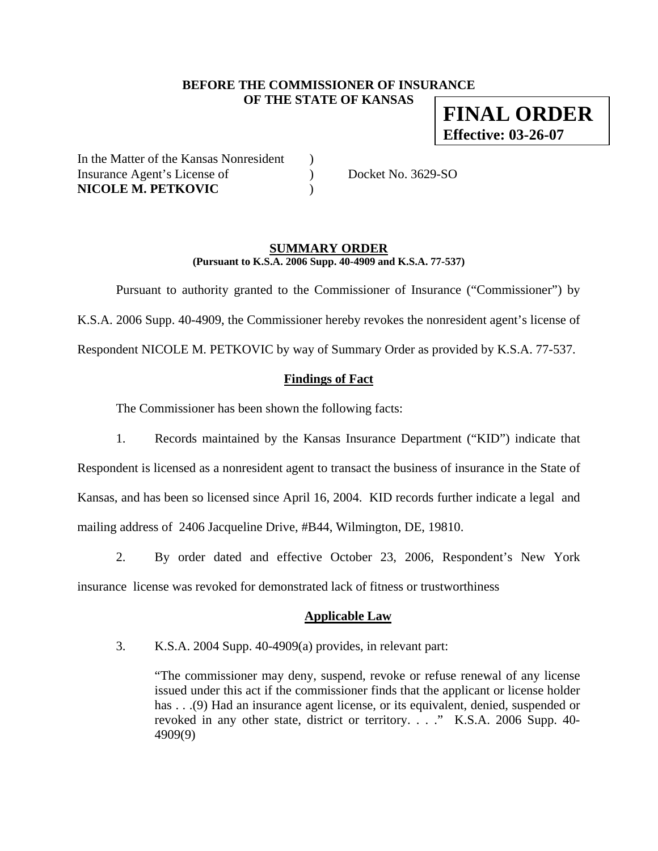### **BEFORE THE COMMISSIONER OF INSURANCE OF THE STATE OF KANSAS**

**FINAL ORDER Effective: 03-26-07**

In the Matter of the Kansas Nonresident ) Insurance Agent's License of  $Docket No. 3629-SO$ **NICOLE M. PETKOVIC** )

### **SUMMARY ORDER (Pursuant to K.S.A. 2006 Supp. 40-4909 and K.S.A. 77-537)**

Pursuant to authority granted to the Commissioner of Insurance ("Commissioner") by

K.S.A. 2006 Supp. 40-4909, the Commissioner hereby revokes the nonresident agent's license of

Respondent NICOLE M. PETKOVIC by way of Summary Order as provided by K.S.A. 77-537.

## **Findings of Fact**

The Commissioner has been shown the following facts:

1. Records maintained by the Kansas Insurance Department ("KID") indicate that

Respondent is licensed as a nonresident agent to transact the business of insurance in the State of Kansas, and has been so licensed since April 16, 2004. KID records further indicate a legal and mailing address of 2406 Jacqueline Drive, #B44, Wilmington, DE, 19810.

2. By order dated and effective October 23, 2006, Respondent's New York

insurance license was revoked for demonstrated lack of fitness or trustworthiness

## **Applicable Law**

3. K.S.A. 2004 Supp. 40-4909(a) provides, in relevant part:

"The commissioner may deny, suspend, revoke or refuse renewal of any license issued under this act if the commissioner finds that the applicant or license holder has . . .(9) Had an insurance agent license, or its equivalent, denied, suspended or revoked in any other state, district or territory. . . ." K.S.A. 2006 Supp. 40- 4909(9)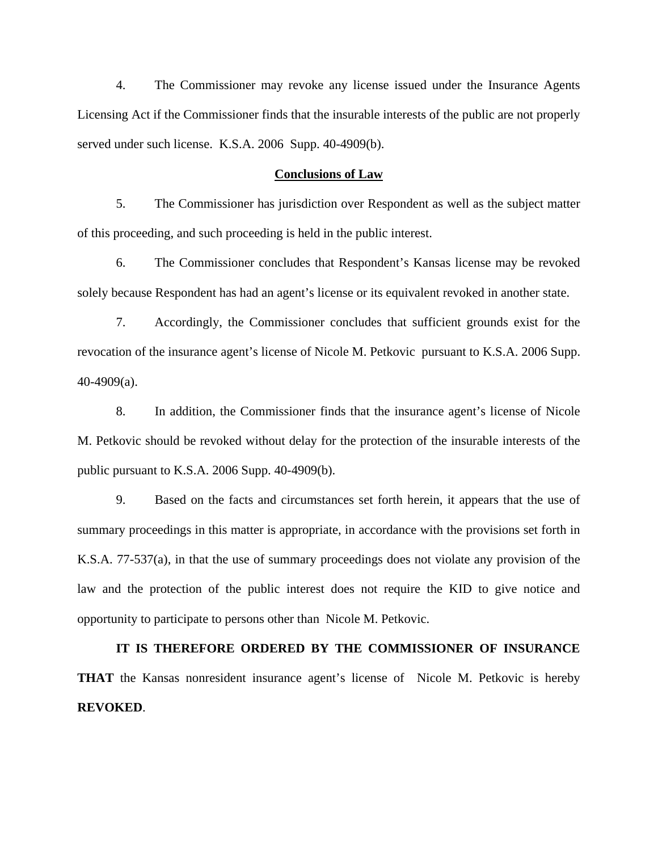4. The Commissioner may revoke any license issued under the Insurance Agents Licensing Act if the Commissioner finds that the insurable interests of the public are not properly served under such license. K.S.A. 2006 Supp. 40-4909(b).

#### **Conclusions of Law**

5. The Commissioner has jurisdiction over Respondent as well as the subject matter of this proceeding, and such proceeding is held in the public interest.

6. The Commissioner concludes that Respondent's Kansas license may be revoked solely because Respondent has had an agent's license or its equivalent revoked in another state.

7. Accordingly, the Commissioner concludes that sufficient grounds exist for the revocation of the insurance agent's license of Nicole M. Petkovic pursuant to K.S.A. 2006 Supp. 40-4909(a).

8. In addition, the Commissioner finds that the insurance agent's license of Nicole M. Petkovic should be revoked without delay for the protection of the insurable interests of the public pursuant to K.S.A. 2006 Supp. 40-4909(b).

9. Based on the facts and circumstances set forth herein, it appears that the use of summary proceedings in this matter is appropriate, in accordance with the provisions set forth in K.S.A. 77-537(a), in that the use of summary proceedings does not violate any provision of the law and the protection of the public interest does not require the KID to give notice and opportunity to participate to persons other than Nicole M. Petkovic.

**IT IS THEREFORE ORDERED BY THE COMMISSIONER OF INSURANCE THAT** the Kansas nonresident insurance agent's license of Nicole M. Petkovic is hereby **REVOKED**.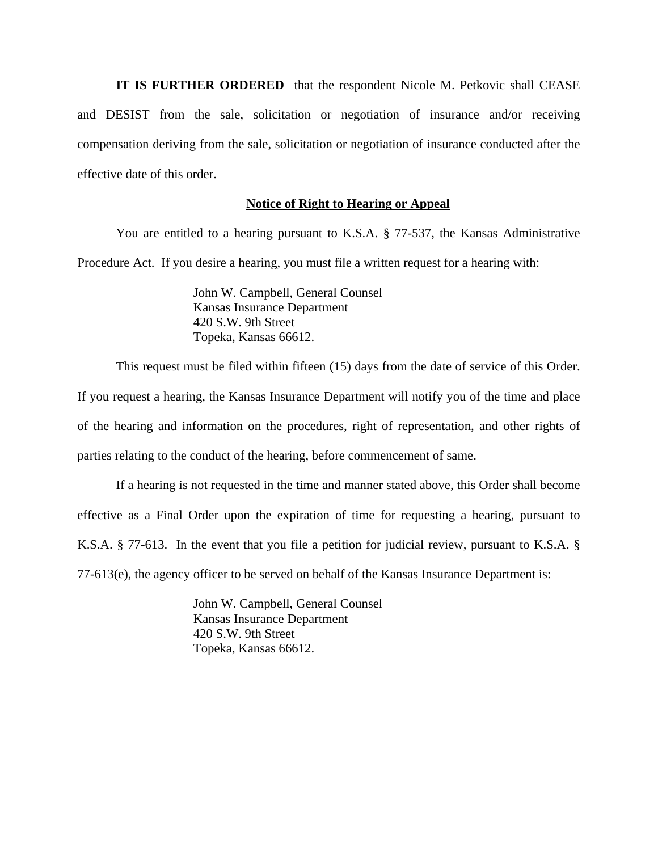**IT IS FURTHER ORDERED** that the respondent Nicole M. Petkovic shall CEASE and DESIST from the sale, solicitation or negotiation of insurance and/or receiving compensation deriving from the sale, solicitation or negotiation of insurance conducted after the effective date of this order.

#### **Notice of Right to Hearing or Appeal**

You are entitled to a hearing pursuant to K.S.A. § 77-537, the Kansas Administrative Procedure Act. If you desire a hearing, you must file a written request for a hearing with:

> John W. Campbell, General Counsel Kansas Insurance Department 420 S.W. 9th Street Topeka, Kansas 66612.

This request must be filed within fifteen (15) days from the date of service of this Order.

If you request a hearing, the Kansas Insurance Department will notify you of the time and place of the hearing and information on the procedures, right of representation, and other rights of parties relating to the conduct of the hearing, before commencement of same.

If a hearing is not requested in the time and manner stated above, this Order shall become effective as a Final Order upon the expiration of time for requesting a hearing, pursuant to K.S.A. § 77-613. In the event that you file a petition for judicial review, pursuant to K.S.A. § 77-613(e), the agency officer to be served on behalf of the Kansas Insurance Department is:

> John W. Campbell, General Counsel Kansas Insurance Department 420 S.W. 9th Street Topeka, Kansas 66612.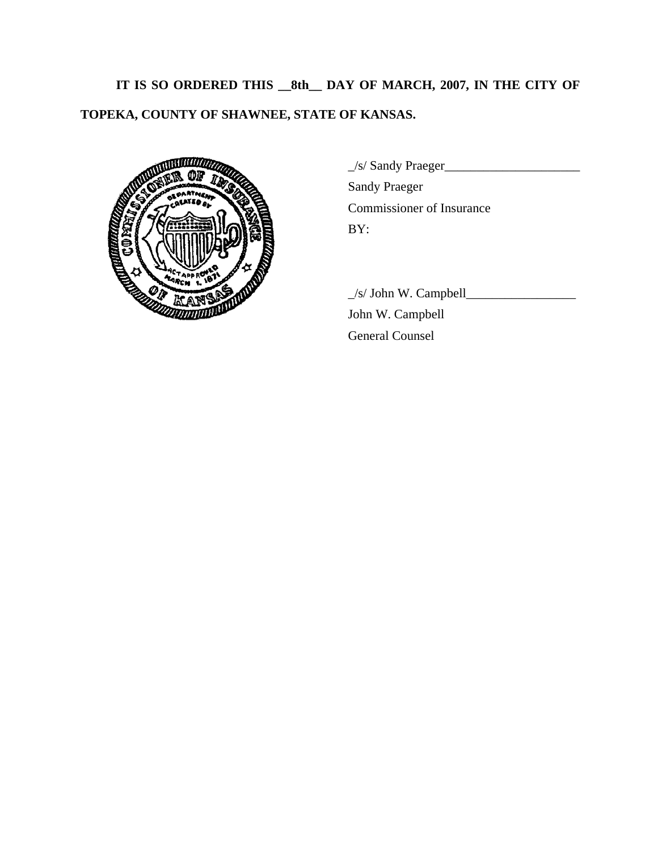**IT IS SO ORDERED THIS \_\_8th\_\_ DAY OF MARCH, 2007, IN THE CITY OF TOPEKA, COUNTY OF SHAWNEE, STATE OF KANSAS.** 



\_/s/ Sandy Praeger\_\_\_\_\_\_\_\_\_\_\_\_\_\_\_\_\_\_\_\_\_ Sandy Praeger Commissioner of Insurance

 $\angle$ s/ John W. Campbell $\angle$  John W. Campbell General Counsel